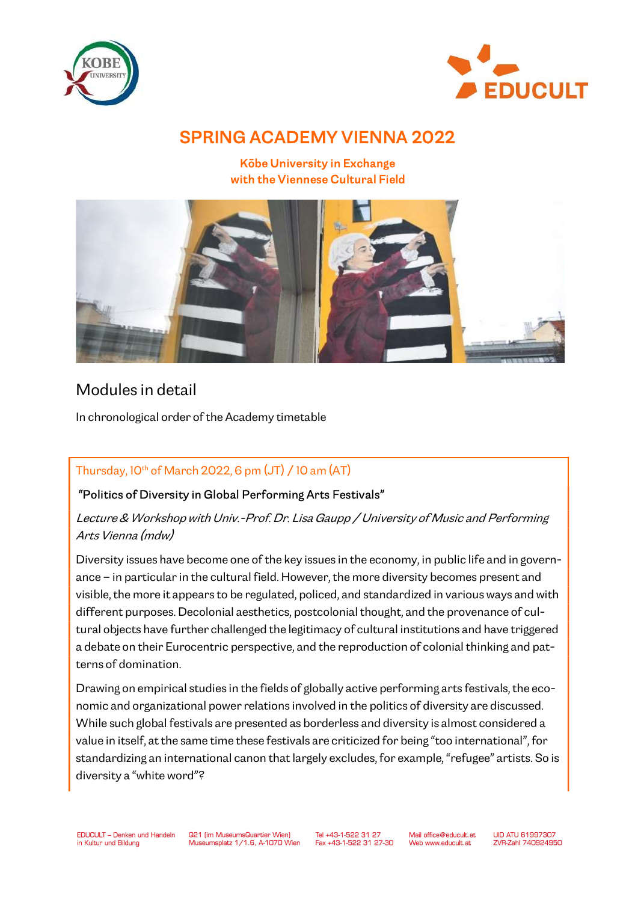



# SPRING ACADEMY VIENNA 2022

Kōbe University in Exchange with the Viennese Cultural Field



# Modules in detail

In chronological order of the Academy timetable

# Thursday,  $10^{th}$  of March 2022, 6 pm (JT) / 10 am (AT)

## "Politics of Diversity in Global Performing Arts Festivals"

Lecture & Workshop with Univ.-Prof. Dr. Lisa Gaupp / University of Music and Performing Arts Vienna (mdw)

Diversity issues have become one of the key issues in the economy, in public life and in governance – in particular in the cultural field. However, the more diversity becomes present and visible, the more it appears to be regulated, policed, and standardized in various ways and with different purposes. Decolonial aesthetics, postcolonial thought, and the provenance of cultural objects have further challenged the legitimacy of cultural institutions and have triggered a debate on their Eurocentric perspective, and the reproduction of colonial thinking and patterns of domination.

Drawing on empirical studies in the fields of globally active performing arts festivals, the economic and organizational power relations involved in the politics of diversity are discussed. While such global festivals are presented as borderless and diversity is almost considered a value in itself, at the same time these festivals are criticized for being "too international", for standardizing an international canon that largely excludes, for example, "refugee" artists. So is diversity a "white word"?

Tel +43-1-522 31 27 Fax +43-1-522 31 27-30 Mail office@educult.at Web www.educult.at

**I IID ATLI 61997307** ZVR-Zahl 740924950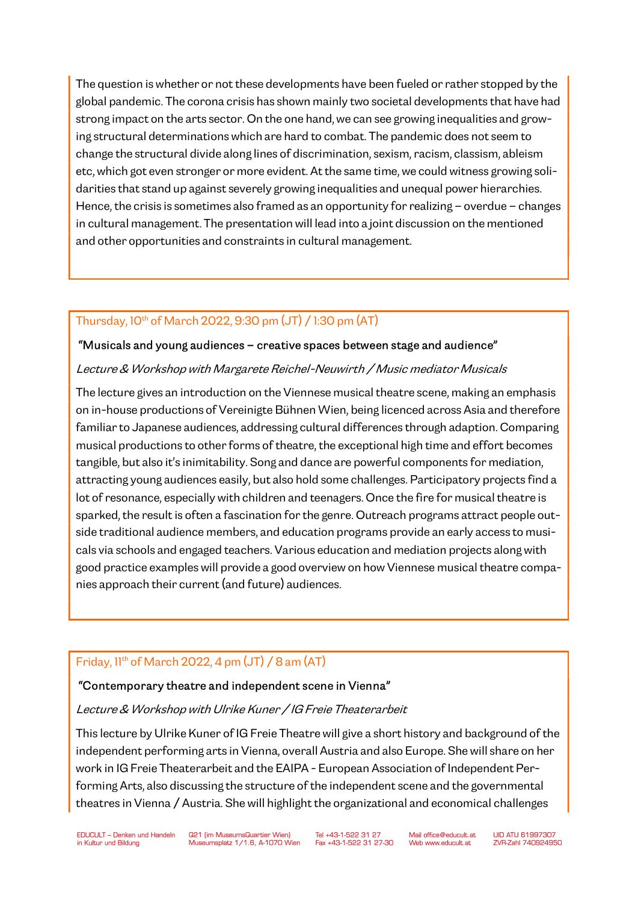The question is whether or not these developments have been fueled or rather stopped by the global pandemic. The corona crisis has shown mainly two societal developments that have had strong impact on the arts sector. On the one hand, we can see growing inequalities and growing structural determinations which are hard to combat. The pandemic does not seem to change the structural divide along lines of discrimination, sexism, racism, classism, ableism etc, which got even stronger or more evident. At the same time, we could witness growing solidarities that stand up against severely growing inequalities and unequal power hierarchies. Hence, the crisis is sometimes also framed as an opportunity for realizing – overdue – changes in cultural management. The presentation will lead into a joint discussion on the mentioned and other opportunities and constraints in cultural management.

# Thursday, 10th of March 2022, 9:30 pm (JT) / 1:30 pm (AT)

#### "Musicals and young audiences – creative spaces between stage and audience"

#### Lecture & Workshop with Margarete Reichel-Neuwirth / Music mediator Musicals

The lecture gives an introduction on the Viennese musical theatre scene, making an emphasis on in-house productions of Vereinigte Bühnen Wien, being licenced across Asia and therefore familiar to Japanese audiences, addressing cultural differences through adaption. Comparing musical productions to other forms of theatre, the exceptional high time and effort becomes tangible, but also it's inimitability. Song and dance are powerful components for mediation, attracting young audiences easily, but also hold some challenges. Participatory projects find a lot of resonance, especially with children and teenagers. Once the fire for musical theatre is sparked, the result is often a fascination for the genre. Outreach programs attract people outside traditional audience members, and education programs provide an early access to musicals via schools and engaged teachers. Various education and mediation projects along with good practice examples will provide a good overview on how Viennese musical theatre companies approach their current (and future) audiences.

## Friday,  $11^{th}$  of March 2022, 4 pm  $(JT)$  / 8 am  $(AT)$

#### "Contemporary theatre and independent scene in Vienna"

#### Lecture & Workshop with Ulrike Kuner / IG Freie Theaterarbeit

This lecture by Ulrike Kuner of IG Freie Theatre will give a short history and background of the independent performing arts in Vienna, overall Austria and also Europe. She will share on her work in IG Freie Theaterarbeit and the EAIPA - European Association of Independent Performing Arts, also discussing the structure of the independent scene and the governmental theatres in Vienna / Austria. She will highlight the organizational and economical challenges

Tel +43-1-522 31 27 Fax +43-1-522 31 27-30 Mail office@educult.at Web www.educult.at

**I IID ATLI 61997307** ZVB-Zahl Z40924950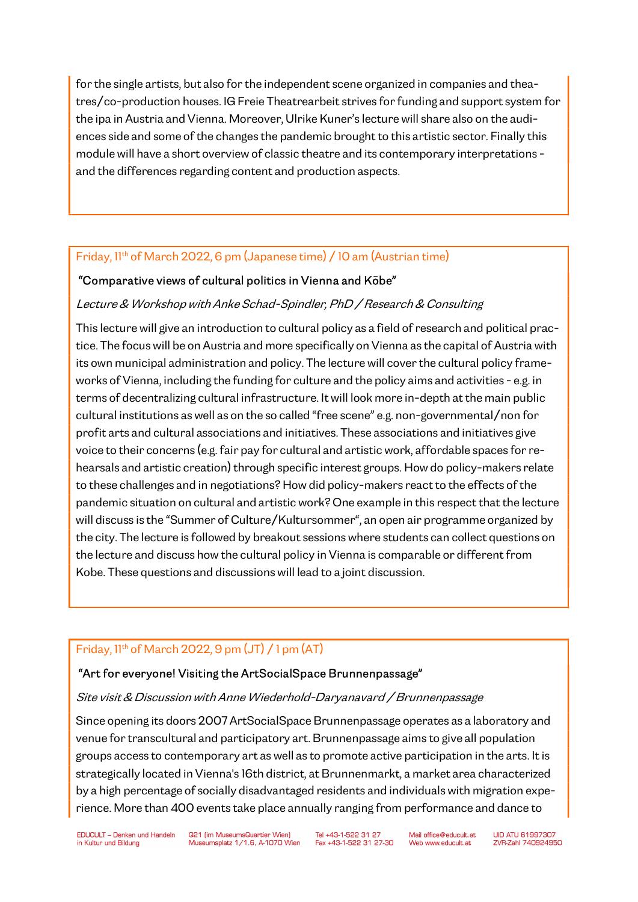for the single artists, but also for the independent scene organized in companies and theatres/co-production houses. IG Freie Theatrearbeit strives for funding and support system for the ipa in Austria and Vienna. Moreover, Ulrike Kuner's lecture will share also on the audiences side and some of the changes the pandemic brought to this artistic sector. Finally this module will have a short overview of classic theatre and its contemporary interpretations and the differences regarding content and production aspects.

### Friday, 11<sup>th</sup> of March 2022, 6 pm (Japanese time) / 10 am (Austrian time)

### "Comparative views of cultural politics in Vienna and Kōbe"

#### Lecture & Workshop with Anke Schad-Spindler, PhD / Research & Consulting

This lecture will give an introduction to cultural policy as a field of research and political practice. The focus will be on Austria and more specifically on Vienna as the capital of Austria with its own municipal administration and policy. The lecture will cover the cultural policy frameworks of Vienna, including the funding for culture and the policy aims and activities - e.g. in terms of decentralizing cultural infrastructure. It will look more in-depth at the main public cultural institutions as well as on the so called "free scene" e.g. non-governmental/non for profit arts and cultural associations and initiatives. These associations and initiatives give voice to their concerns (e.g. fair pay for cultural and artistic work, affordable spaces for rehearsals and artistic creation) through specific interest groups. How do policy-makers relate to these challenges and in negotiations? How did policy-makers react to the effects of the pandemic situation on cultural and artistic work? One example in this respect that the lecture will discuss is the "Summer of Culture/Kultursommer", an open air programme organized by the city. The lecture is followed by breakout sessions where students can collect questions on the lecture and discuss how the cultural policy in Vienna is comparable or different from Kobe. These questions and discussions will lead to a joint discussion.

#### Friday,  $11<sup>th</sup>$  of March 2022, 9 pm  $(JT)$  / 1 pm  $(AT)$

#### "Art for everyone! Visiting the ArtSocialSpace Brunnenpassage"

#### Site visit & Discussion with Anne Wiederhold-Daryanavard / Brunnenpassage

Since opening its doors 2007 ArtSocialSpace Brunnenpassage operates as a laboratory and venue for transcultural and participatory art. Brunnenpassage aims to give all population groups access to contemporary art as well as to promote active participation in the arts. It is strategically located in Vienna's 16th district, at Brunnenmarkt, a market area characterized by a high percentage of socially disadvantaged residents and individuals with migration experience. More than 400 events take place annually ranging from performance and dance to

Tel +43-1-522 31 27 Fax +43-1-522 31 27-30 Mail office@educult.at Web www.educult.at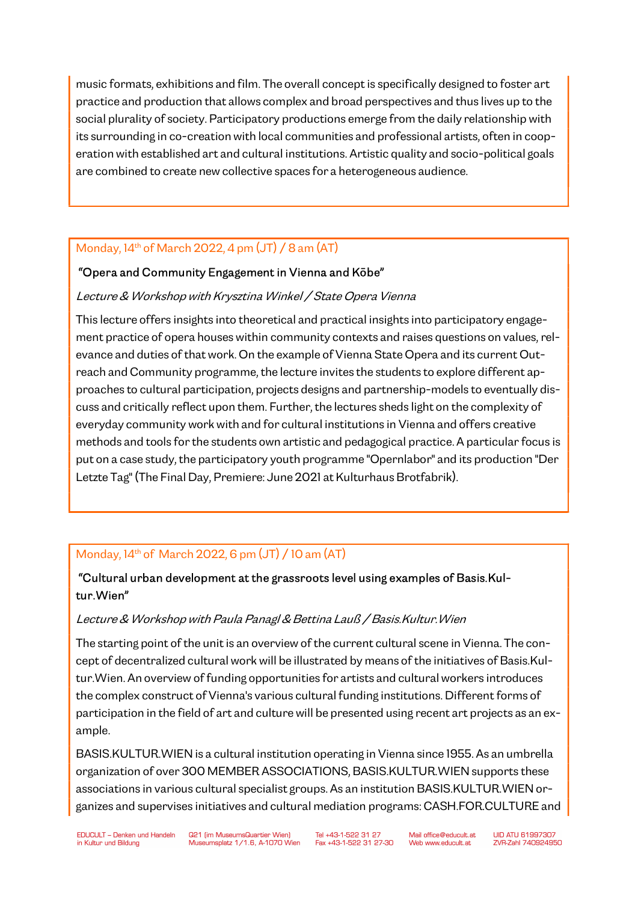music formats, exhibitions and film. The overall concept is specifically designed to foster art practice and production that allows complex and broad perspectives and thus lives up to the social plurality of society. Participatory productions emerge from the daily relationship with its surrounding in co-creation with local communities and professional artists, often in cooperation with established art and cultural institutions. Artistic quality and socio-political goals are combined to create new collective spaces for a heterogeneous audience.

# Monday,  $14<sup>th</sup>$  of March 2022, 4 pm  $(JT)$  / 8 am  $(AT)$

### "Opera and Community Engagement in Vienna and Kōbe"

### Lecture & Workshop with Krysztina Winkel / State Opera Vienna

This lecture offers insights into theoretical and practical insights into participatory engagement practice of opera houses within community contexts and raises questions on values, relevance and duties of that work. On the example of Vienna State Opera and its current Outreach and Community programme, the lecture invites the students to explore different approaches to cultural participation, projects designs and partnership-models to eventually discuss and critically reflect upon them. Further, the lectures sheds light on the complexity of everyday community work with and for cultural institutions in Vienna and offers creative methods and tools for the students own artistic and pedagogical practice. A particular focus is put on a case study, the participatory youth programme "Opernlabor" and its production "Der Letzte Tag" (The Final Day, Premiere: June 2021 at Kulturhaus Brotfabrik).

# Monday, 14th of March 2022, 6 pm (JT) / 10 am (AT)

# "Cultural urban development at the grassroots level using examples of Basis.Kultur.Wien"

#### Lecture & Workshop with Paula Panagl & Bettina Lauß / Basis.Kultur.Wien

The starting point of the unit is an overview of the current cultural scene in Vienna. The concept of decentralized cultural work will be illustrated by means of the initiatives of Basis.Kultur.Wien. An overview of funding opportunities for artists and cultural workers introduces the complex construct of Vienna's various cultural funding institutions. Different forms of participation in the field of art and culture will be presented using recent art projects as an example.

BASIS.KULTUR.WIEN is a cultural institution operating in Vienna since 1955. As an umbrella organization of over 300 MEMBER ASSOCIATIONS, BASIS.KULTUR.WIEN supports these associations in various cultural specialist groups. As an institution BASIS.KULTUR.WIEN organizes and supervises initiatives and cultural mediation programs: CASH.FOR.CULTURE and

Tel +43-1-522 31 27 Fax +43-1-522 31 27-30

Mail office@educult.at Web www.educult.at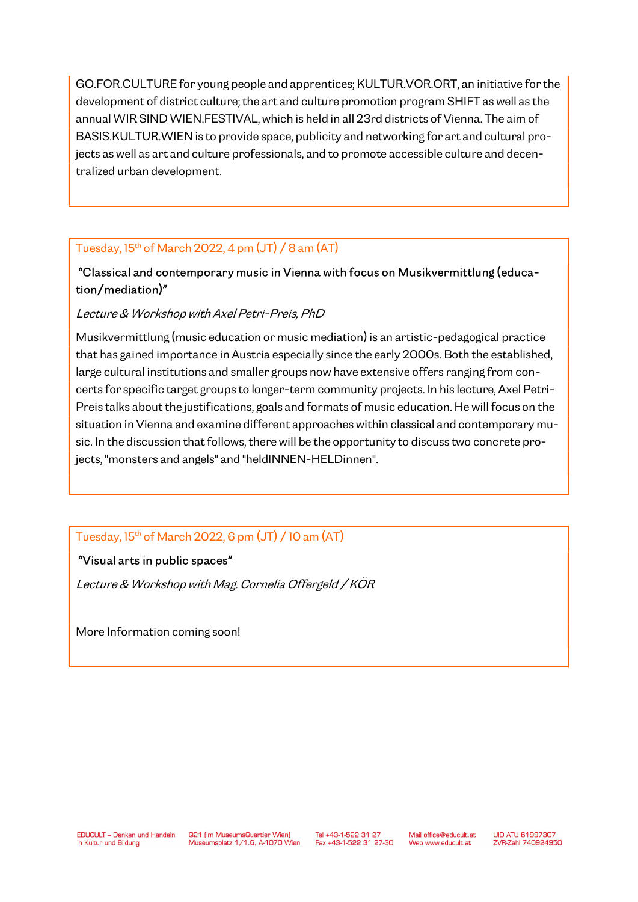GO.FOR.CULTURE for young people and apprentices; KULTUR.VOR.ORT, an initiative for the development of district culture; the art and culture promotion program SHIFT as well as the annual WIR SIND WIEN.FESTIVAL, which is held in all 23rd districts of Vienna. The aim of BASIS.KULTUR.WIEN is to provide space, publicity and networking for art and cultural projects as well as art and culture professionals, and to promote accessible culture and decentralized urban development.

## Tuesday,  $15<sup>th</sup>$  of March 2022, 4 pm  $(JT)$  / 8 am  $(AT)$

# "Classical and contemporary music in Vienna with focus on Musikvermittlung (education/mediation)"

### Lecture & Workshop with Axel Petri-Preis, PhD

Musikvermittlung (music education or music mediation) is an artistic-pedagogical practice that has gained importance in Austria especially since the early 2000s. Both the established, large cultural institutions and smaller groups now have extensive offers ranging from concerts for specific target groups to longer-term community projects. In his lecture, Axel Petri-Preis talks about the justifications, goals and formats of music education. He will focus on the situation in Vienna and examine different approaches within classical and contemporary music. In the discussion that follows, there will be the opportunity to discuss two concrete projects, "monsters and angels" and "heldINNEN-HELDinnen".

# Tuesday,  $15<sup>th</sup>$  of March 2022, 6 pm (JT) / 10 am (AT)

## "Visual arts in public spaces"

Lecture & Workshop with Mag. Cornelia Offergeld / KÖR

More Information coming soon!

Tel +43-1-522 31 27 Fax +43-1-522 31 27-30